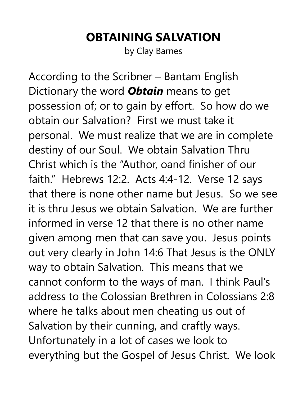## **OBTAINING SALVATION**

by Clay Barnes

According to the Scribner – Bantam English Dictionary the word *Obtain* means to get possession of; or to gain by effort. So how do we obtain our Salvation? First we must take it personal. We must realize that we are in complete destiny of our Soul. We obtain Salvation Thru Christ which is the "Author, oand finisher of our faith." Hebrews 12:2. Acts 4:4-12. Verse 12 says that there is none other name but Jesus. So we see it is thru Jesus we obtain Salvation. We are further informed in verse 12 that there is no other name given among men that can save you. Jesus points out very clearly in John 14:6 That Jesus is the ONLY way to obtain Salvation. This means that we cannot conform to the ways of man. I think Paul's address to the Colossian Brethren in Colossians 2:8 where he talks about men cheating us out of Salvation by their cunning, and craftly ways. Unfortunately in a lot of cases we look to everything but the Gospel of Jesus Christ. We look